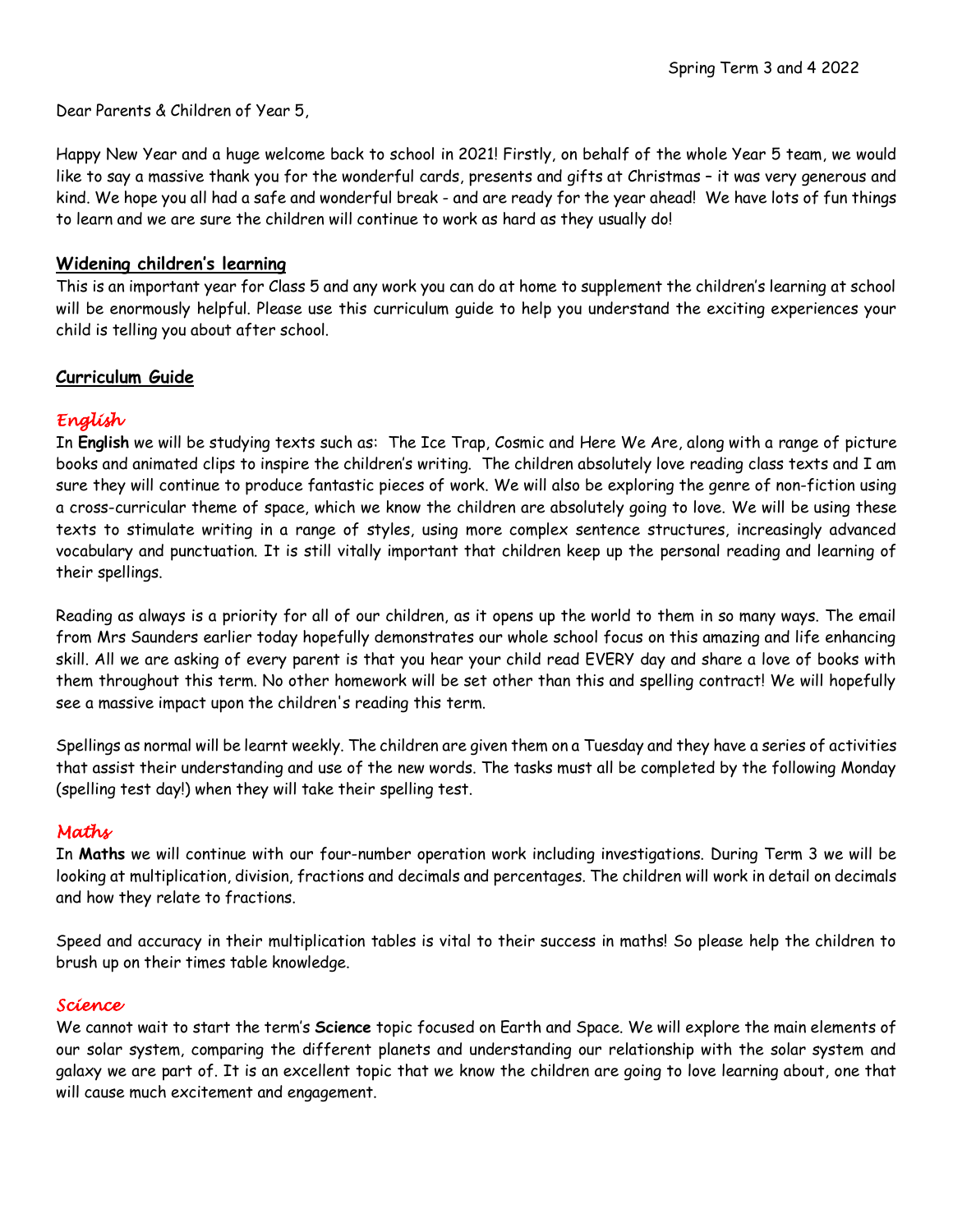Dear Parents & Children of Year 5,

Happy New Year and a huge welcome back to school in 2021! Firstly, on behalf of the whole Year 5 team, we would like to say a massive thank you for the wonderful cards, presents and gifts at Christmas – it was very generous and kind. We hope you all had a safe and wonderful break - and are ready for the year ahead! We have lots of fun things to learn and we are sure the children will continue to work as hard as they usually do!

### **Widening children's learning**

This is an important year for Class 5 and any work you can do at home to supplement the children's learning at school will be enormously helpful. Please use this curriculum guide to help you understand the exciting experiences your child is telling you about after school.

### **Curriculum Guide**

# *English*

In **English** we will be studying texts such as: The Ice Trap, Cosmic and Here We Are, along with a range of picture books and animated clips to inspire the children's writing. The children absolutely love reading class texts and I am sure they will continue to produce fantastic pieces of work. We will also be exploring the genre of non-fiction using a cross-curricular theme of space, which we know the children are absolutely going to love. We will be using these texts to stimulate writing in a range of styles, using more complex sentence structures, increasingly advanced vocabulary and punctuation. It is still vitally important that children keep up the personal reading and learning of their spellings.

Reading as always is a priority for all of our children, as it opens up the world to them in so many ways. The email from Mrs Saunders earlier today hopefully demonstrates our whole school focus on this amazing and life enhancing skill. All we are asking of every parent is that you hear your child read EVERY day and share a love of books with them throughout this term. No other homework will be set other than this and spelling contract! We will hopefully see a massive impact upon the children's reading this term.

Spellings as normal will be learnt weekly. The children are given them on a Tuesday and they have a series of activities that assist their understanding and use of the new words. The tasks must all be completed by the following Monday (spelling test day!) when they will take their spelling test.

# *Maths*

In **Maths** we will continue with our four-number operation work including investigations. During Term 3 we will be looking at multiplication, division, fractions and decimals and percentages. The children will work in detail on decimals and how they relate to fractions.

Speed and accuracy in their multiplication tables is vital to their success in maths! So please help the children to brush up on their times table knowledge.

### *Science*

We cannot wait to start the term's **Science** topic focused on Earth and Space. We will explore the main elements of our solar system, comparing the different planets and understanding our relationship with the solar system and galaxy we are part of. It is an excellent topic that we know the children are going to love learning about, one that will cause much excitement and engagement.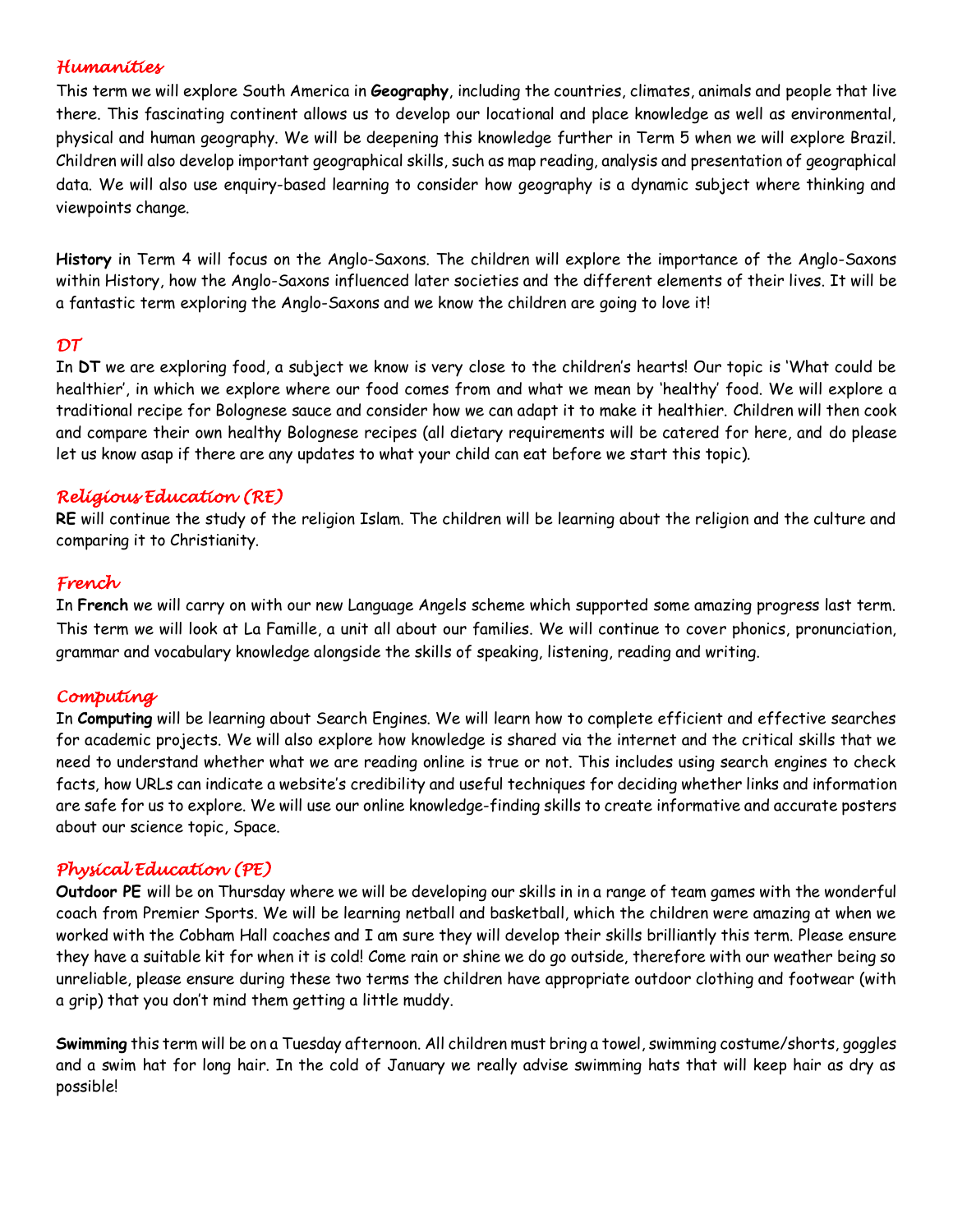## *Humanities*

This term we will explore South America in **Geography**, including the countries, climates, animals and people that live there. This fascinating continent allows us to develop our locational and place knowledge as well as environmental, physical and human geography. We will be deepening this knowledge further in Term 5 when we will explore Brazil. Children will also develop important geographical skills, such as map reading, analysis and presentation of geographical data. We will also use enquiry-based learning to consider how geography is a dynamic subject where thinking and viewpoints change.

**History** in Term 4 will focus on the Anglo-Saxons. The children will explore the importance of the Anglo-Saxons within History, how the Anglo-Saxons influenced later societies and the different elements of their lives. It will be a fantastic term exploring the Anglo-Saxons and we know the children are going to love it!

#### *DT*

In **DT** we are exploring food, a subject we know is very close to the children's hearts! Our topic is 'What could be healthier', in which we explore where our food comes from and what we mean by 'healthy' food. We will explore a traditional recipe for Bolognese sauce and consider how we can adapt it to make it healthier. Children will then cook and compare their own healthy Bolognese recipes (all dietary requirements will be catered for here, and do please let us know asap if there are any updates to what your child can eat before we start this topic).

### *Religious Education (RE)*

**RE** will continue the study of the religion Islam. The children will be learning about the religion and the culture and comparing it to Christianity.

### *French*

In **French** we will carry on with our new Language Angels scheme which supported some amazing progress last term. This term we will look at La Famille, a unit all about our families. We will continue to cover phonics, pronunciation, grammar and vocabulary knowledge alongside the skills of speaking, listening, reading and writing.

### *Computing*

In **Computing** will be learning about Search Engines. We will learn how to complete efficient and effective searches for academic projects. We will also explore how knowledge is shared via the internet and the critical skills that we need to understand whether what we are reading online is true or not. This includes using search engines to check facts, how URLs can indicate a website's credibility and useful techniques for deciding whether links and information are safe for us to explore. We will use our online knowledge-finding skills to create informative and accurate posters about our science topic, Space.

### *Physical Education (PE)*

**Outdoor PE** will be on Thursday where we will be developing our skills in in a range of team games with the wonderful coach from Premier Sports. We will be learning netball and basketball, which the children were amazing at when we worked with the Cobham Hall coaches and I am sure they will develop their skills brilliantly this term. Please ensure they have a suitable kit for when it is cold! Come rain or shine we do go outside, therefore with our weather being so unreliable, please ensure during these two terms the children have appropriate outdoor clothing and footwear (with a grip) that you don't mind them getting a little muddy.

**Swimming** this term will be on a Tuesday afternoon. All children must bring a towel, swimming costume/shorts, goggles and a swim hat for long hair. In the cold of January we really advise swimming hats that will keep hair as dry as possible!